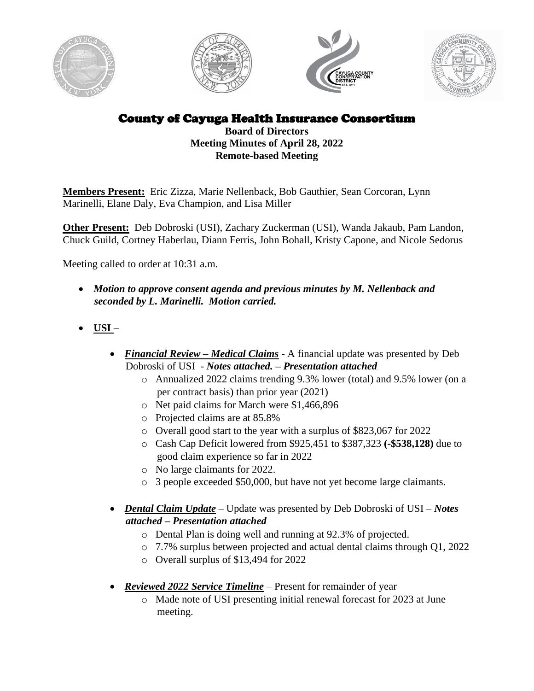







County of Cayuga Health Insurance Consortium

**Board of Directors Meeting Minutes of April 28, 2022 Remote-based Meeting**

**Members Present:** Eric Zizza, Marie Nellenback, Bob Gauthier, Sean Corcoran, Lynn Marinelli, Elane Daly, Eva Champion, and Lisa Miller

**Other Present:** Deb Dobroski (USI), Zachary Zuckerman (USI), Wanda Jakaub, Pam Landon, Chuck Guild, Cortney Haberlau, Diann Ferris, John Bohall, Kristy Capone, and Nicole Sedorus

Meeting called to order at 10:31 a.m.

- *Motion to approve consent agenda and previous minutes by M. Nellenback and seconded by L. Marinelli. Motion carried.*
- **USI** 
	- *Financial Review – Medical Claims* A financial update was presented by Deb Dobroski of USI - *Notes attached. – Presentation attached*
		- o Annualized 2022 claims trending 9.3% lower (total) and 9.5% lower (on a per contract basis) than prior year (2021)
		- o Net paid claims for March were \$1,466,896
		- o Projected claims are at 85.8%
		- o Overall good start to the year with a surplus of \$823,067 for 2022
		- o Cash Cap Deficit lowered from \$925,451 to \$387,323 **(-\$538,128)** due to good claim experience so far in 2022
		- o No large claimants for 2022.
		- o 3 people exceeded \$50,000, but have not yet become large claimants.
	- *Dental Claim Update* Update was presented by Deb Dobroski of USI *Notes attached – Presentation attached*
		- o Dental Plan is doing well and running at 92.3% of projected.
		- o 7.7% surplus between projected and actual dental claims through Q1, 2022
		- o Overall surplus of \$13,494 for 2022
	- *Reviewed 2022 Service Timeline* Present for remainder of year
		- o Made note of USI presenting initial renewal forecast for 2023 at June meeting.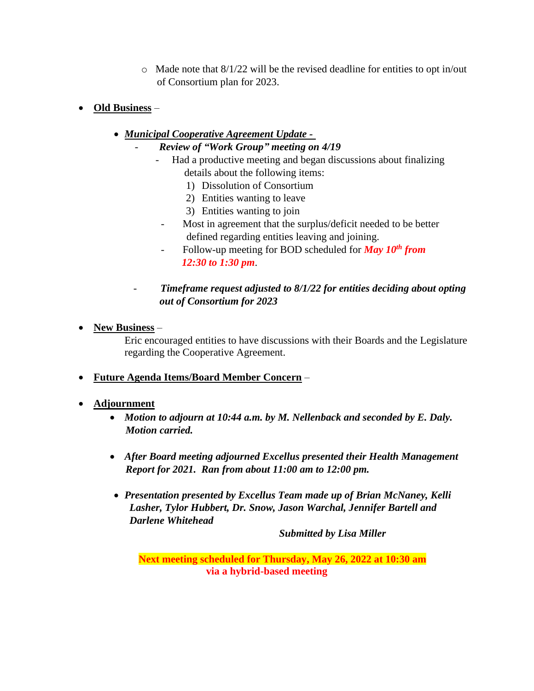- o Made note that 8/1/22 will be the revised deadline for entities to opt in/out of Consortium plan for 2023.
- **Old Business**
	- *Municipal Cooperative Agreement Update -*
		- *Review of "Work Group" meeting on 4/19*
			- Had a productive meeting and began discussions about finalizing details about the following items:
				- 1) Dissolution of Consortium
				- 2) Entities wanting to leave
				- 3) Entities wanting to join
				- Most in agreement that the surplus/deficit needed to be better defined regarding entities leaving and joining.
			- Follow-up meeting for BOD scheduled for *May 10 th from 12:30 to 1:30 pm*.
		- *Timeframe request adjusted to 8/1/22 for entities deciding about opting out of Consortium for 2023*
- **New Business** –

Eric encouraged entities to have discussions with their Boards and the Legislature regarding the Cooperative Agreement.

- **Future Agenda Items/Board Member Concern** –
- **Adjournment**
	- *Motion to adjourn at 10:44 a.m. by M. Nellenback and seconded by E. Daly. Motion carried.*
	- *After Board meeting adjourned Excellus presented their Health Management Report for 2021. Ran from about 11:00 am to 12:00 pm.*
	- *Presentation presented by Excellus Team made up of Brian McNaney, Kelli Lasher, Tylor Hubbert, Dr. Snow, Jason Warchal, Jennifer Bartell and Darlene Whitehead*

*Submitted by Lisa Miller*

**Next meeting scheduled for Thursday, May 26, 2022 at 10:30 am via a hybrid-based meeting**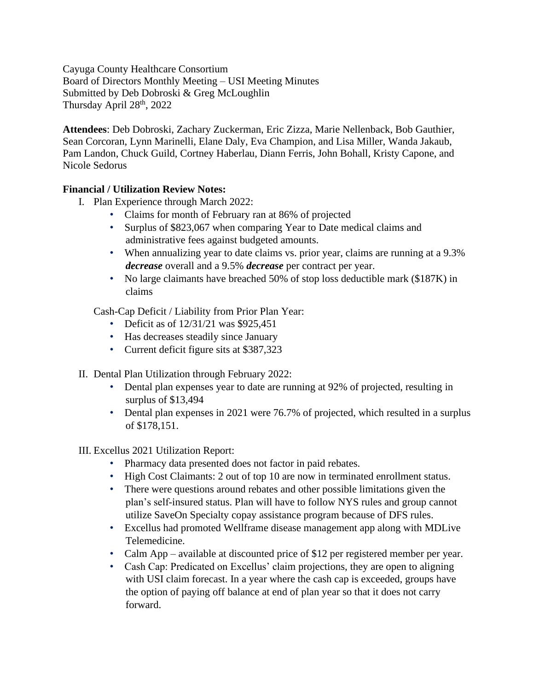Cayuga County Healthcare Consortium Board of Directors Monthly Meeting – USI Meeting Minutes Submitted by Deb Dobroski & Greg McLoughlin Thursday April  $28<sup>th</sup>$ , 2022

**Attendees**: Deb Dobroski, Zachary Zuckerman, Eric Zizza, Marie Nellenback, Bob Gauthier, Sean Corcoran, Lynn Marinelli, Elane Daly, Eva Champion, and Lisa Miller, Wanda Jakaub, Pam Landon, Chuck Guild, Cortney Haberlau, Diann Ferris, John Bohall, Kristy Capone, and Nicole Sedorus

## **Financial / Utilization Review Notes:**

- I. Plan Experience through March 2022:
	- Claims for month of February ran at 86% of projected
	- Surplus of \$823,067 when comparing Year to Date medical claims and administrative fees against budgeted amounts.
	- When annualizing year to date claims vs. prior year, claims are running at a 9.3% *decrease* overall and a 9.5% *decrease* per contract per year.
	- No large claimants have breached 50% of stop loss deductible mark (\$187K) in claims

Cash-Cap Deficit / Liability from Prior Plan Year:

- Deficit as of  $12/31/21$  was \$925,451
- Has decreases steadily since January
- Current deficit figure sits at \$387,323
- II. Dental Plan Utilization through February 2022:
	- Dental plan expenses year to date are running at 92% of projected, resulting in surplus of \$13,494
	- Dental plan expenses in 2021 were 76.7% of projected, which resulted in a surplus of \$178,151.

## III. Excellus 2021 Utilization Report:

- Pharmacy data presented does not factor in paid rebates.
- High Cost Claimants: 2 out of top 10 are now in terminated enrollment status.
- There were questions around rebates and other possible limitations given the plan's self-insured status. Plan will have to follow NYS rules and group cannot utilize SaveOn Specialty copay assistance program because of DFS rules.
- Excellus had promoted Wellframe disease management app along with MDLive Telemedicine.
- Calm App available at discounted price of \$12 per registered member per year.
- Cash Cap: Predicated on Excellus' claim projections, they are open to aligning with USI claim forecast. In a year where the cash cap is exceeded, groups have the option of paying off balance at end of plan year so that it does not carry forward.